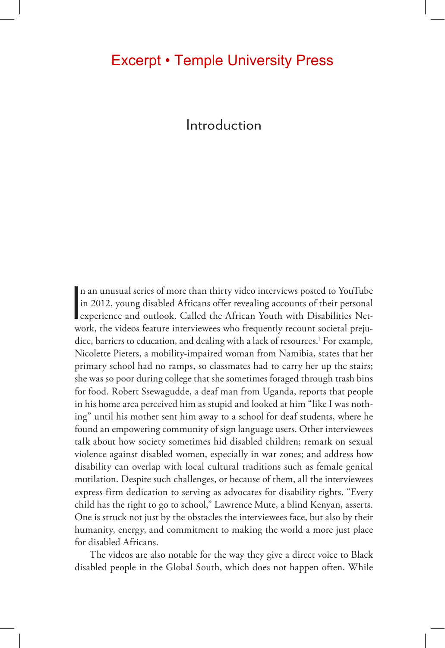### Excerpt • Temple University Press

### Introduction

In an unusual series of more than thirty video interviews posted to YouTube<br>in 2012, young disabled Africans offer revealing accounts of their personal<br>experience and outlook. Called the African Youth with Disabilities Net n an unusual series of more than thirty video interviews posted to YouTube in 2012, young disabled Africans offer revealing accounts of their personal work, the videos feature interviewees who frequently recount societal prejudice, barriers to education, and dealing with a lack of resources.1 For example, Nicolette Pieters, a mobility-impaired woman from Namibia, states that her primary school had no ramps, so classmates had to carry her up the stairs; she was so poor during college that she sometimes foraged through trash bins for food. Robert Ssewagudde, a deaf man from Uganda, reports that people in his home area perceived him as stupid and looked at him "like I was nothing" until his mother sent him away to a school for deaf students, where he found an empowering community of sign language users. Other interviewees talk about how society sometimes hid disabled children; remark on sexual violence against disabled women, especially in war zones; and address how disability can overlap with local cultural traditions such as female genital mutilation. Despite such challenges, or because of them, all the interviewees express firm dedication to serving as advocates for disability rights. "Every child has the right to go to school," Lawrence Mute, a blind Kenyan, asserts. One is struck not just by the obstacles the interviewees face, but also by their humanity, energy, and commitment to making the world a more just place for disabled Africans.

The videos are also notable for the way they give a direct voice to Black disabled people in the Global South, which does not happen often. While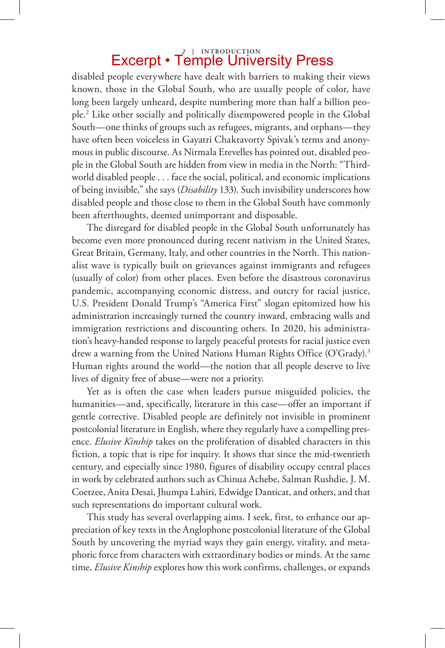disabled people everywhere have dealt with barriers to making their views known, those in the Global South, who are usually people of color, have long been largely unheard, despite numbering more than half a billion people.2 Like other socially and politically disempowered people in the Global South—one thinks of groups such as refugees, migrants, and orphans—they have often been voiceless in Gayatri Chakravorty Spivak's terms and anonymous in public discourse. As Nirmala Erevelles has pointed out, disabled people in the Global South are hidden from view in media in the North: "Thirdworld disabled people . . . face the social, political, and economic implications of being invisible," she says (*Disability* 133). Such invisibility underscores how disabled people and those close to them in the Global South have commonly been afterthoughts, deemed unimportant and disposable.

The disregard for disabled people in the Global South unfortunately has become even more pronounced during recent nativism in the United States, Great Britain, Germany, Italy, and other countries in the North. This nationalist wave is typically built on grievances against immigrants and refugees (usually of color) from other places. Even before the disastrous coronavirus pandemic, accompanying economic distress, and outcry for racial justice, U.S. President Donald Trump's "America First" slogan epitomized how his administration increasingly turned the country inward, embracing walls and immigration restrictions and discounting others. In 2020, his administration's heavy-handed response to largely peaceful protests for racial justice even drew a warning from the United Nations Human Rights Office (O'Grady).<sup>3</sup> Human rights around the world—the notion that all people deserve to live lives of dignity free of abuse—were not a priority.

Yet as is often the case when leaders pursue misguided policies, the humanities—and, specifically, literature in this case—offer an important if gentle corrective. Disabled people are definitely not invisible in prominent postcolonial literature in English, where they regularly have a compelling presence. *Elusive Kinship* takes on the proliferation of disabled characters in this fiction, a topic that is ripe for inquiry. It shows that since the mid-twentieth century, and especially since 1980, figures of disability occupy central places in work by celebrated authors such as Chinua Achebe, Salman Rushdie, J. M. Coetzee, Anita Desai, Jhumpa Lahiri, Edwidge Danticat, and others, and that such representations do important cultural work.

This study has several overlapping aims. I seek, first, to enhance our appreciation of key texts in the Anglophone postcolonial literature of the Global South by uncovering the myriad ways they gain energy, vitality, and metaphoric force from characters with extraordinary bodies or minds. At the same time, *Elusive Kinship* explores how this work confirms, challenges, or expands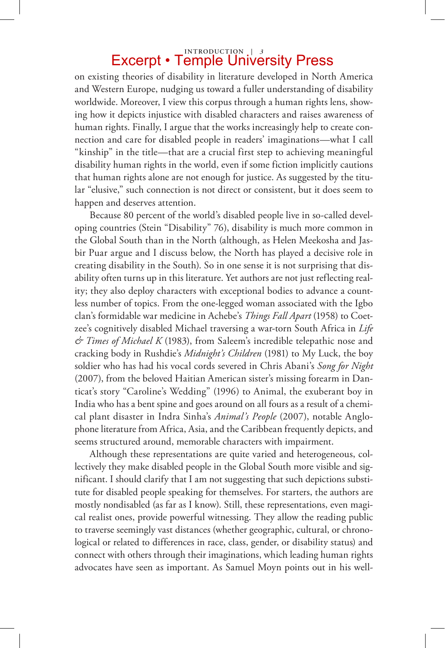on existing theories of disability in literature developed in North America and Western Europe, nudging us toward a fuller understanding of disability worldwide. Moreover, I view this corpus through a human rights lens, showing how it depicts injustice with disabled characters and raises awareness of human rights. Finally, I argue that the works increasingly help to create connection and care for disabled people in readers' imaginations—what I call "kinship" in the title—that are a crucial first step to achieving meaningful disability human rights in the world, even if some fiction implicitly cautions that human rights alone are not enough for justice. As suggested by the titular "elusive," such connection is not direct or consistent, but it does seem to happen and deserves attention.

Because 80 percent of the world's disabled people live in so-called developing countries (Stein "Disability" 76), disability is much more common in the Global South than in the North (although, as Helen Meekosha and Jasbir Puar argue and I discuss below, the North has played a decisive role in creating disability in the South). So in one sense it is not surprising that disability often turns up in this literature. Yet authors are not just reflecting reality; they also deploy characters with exceptional bodies to advance a countless number of topics. From the one-legged woman associated with the Igbo clan's formidable war medicine in Achebe's *Things Fall Apart* (1958) to Coetzee's cognitively disabled Michael traversing a war-torn South Africa in *Life & Times of Michael K* (1983), from Saleem's incredible telepathic nose and cracking body in Rushdie's *Midnight's Children* (1981) to My Luck, the boy soldier who has had his vocal cords severed in Chris Abani's *Song for Night* (2007), from the beloved Haitian American sister's missing forearm in Danticat's story "Caroline's Wedding" (1996) to Animal, the exuberant boy in India who has a bent spine and goes around on all fours as a result of a chemical plant disaster in Indra Sinha's *Animal's People* (2007), notable Anglophone literature from Africa, Asia, and the Caribbean frequently depicts, and seems structured around, memorable characters with impairment.

Although these representations are quite varied and heterogeneous, collectively they make disabled people in the Global South more visible and significant. I should clarify that I am not suggesting that such depictions substitute for disabled people speaking for themselves. For starters, the authors are mostly nondisabled (as far as I know). Still, these representations, even magical realist ones, provide powerful witnessing. They allow the reading public to traverse seemingly vast distances (whether geographic, cultural, or chronological or related to differences in race, class, gender, or disability status) and connect with others through their imaginations, which leading human rights advocates have seen as important. As Samuel Moyn points out in his well-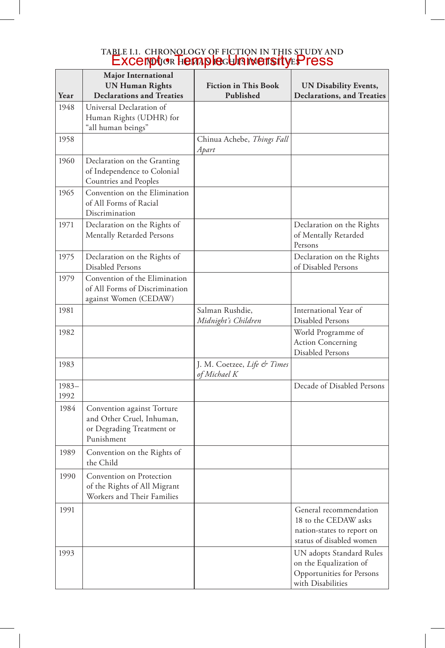#### **TABLE I.1. CHRONO LOGY OF FICTION IN THIS STUDY AND Excerptor Hemple University Press**

|         | <b>Major International</b>               |                             |                                   |
|---------|------------------------------------------|-----------------------------|-----------------------------------|
|         | <b>UN Human Rights</b>                   | <b>Fiction in This Book</b> | <b>UN Disability Events,</b>      |
| Year    | <b>Declarations and Treaties</b>         | Published                   | <b>Declarations, and Treaties</b> |
| 1948    | Universal Declaration of                 |                             |                                   |
|         | Human Rights (UDHR) for                  |                             |                                   |
|         | "all human beings"                       |                             |                                   |
| 1958    |                                          | Chinua Achebe, Things Fall  |                                   |
|         |                                          | Apart                       |                                   |
| 1960    | Declaration on the Granting              |                             |                                   |
|         | of Independence to Colonial              |                             |                                   |
|         | Countries and Peoples                    |                             |                                   |
| 1965    | Convention on the Elimination            |                             |                                   |
|         | of All Forms of Racial                   |                             |                                   |
|         | Discrimination                           |                             |                                   |
|         |                                          |                             |                                   |
| 1971    | Declaration on the Rights of             |                             | Declaration on the Rights         |
|         | Mentally Retarded Persons                |                             | of Mentally Retarded              |
|         |                                          |                             | Persons                           |
| 1975    | Declaration on the Rights of             |                             | Declaration on the Rights         |
|         | Disabled Persons                         |                             | of Disabled Persons               |
| 1979    | Convention of the Elimination            |                             |                                   |
|         | of All Forms of Discrimination           |                             |                                   |
|         | against Women (CEDAW)                    |                             |                                   |
| 1981    |                                          | Salman Rushdie,             | International Year of             |
|         |                                          | Midnight's Children         | Disabled Persons                  |
| 1982    |                                          |                             | World Programme of                |
|         |                                          |                             | <b>Action Concerning</b>          |
|         |                                          |                             | Disabled Persons                  |
| 1983    |                                          | J. M. Coetzee, Life & Times |                                   |
|         |                                          | of Michael K                |                                   |
| $1983-$ |                                          |                             | Decade of Disabled Persons        |
| 1992    |                                          |                             |                                   |
| 1984    | Convention against Torture               |                             |                                   |
|         | and Other Cruel, Inhuman,                |                             |                                   |
|         | or Degrading Treatment or                |                             |                                   |
|         | Punishment                               |                             |                                   |
| 1989    |                                          |                             |                                   |
|         | Convention on the Rights of<br>the Child |                             |                                   |
|         |                                          |                             |                                   |
| 1990    | Convention on Protection                 |                             |                                   |
|         | of the Rights of All Migrant             |                             |                                   |
|         | Workers and Their Families               |                             |                                   |
| 1991    |                                          |                             | General recommendation            |
|         |                                          |                             | 18 to the CEDAW asks              |
|         |                                          |                             | nation-states to report on        |
|         |                                          |                             | status of disabled women          |
| 1993    |                                          |                             | UN adopts Standard Rules          |
|         |                                          |                             | on the Equalization of            |
|         |                                          |                             | Opportunities for Persons         |
|         |                                          |                             | with Disabilities                 |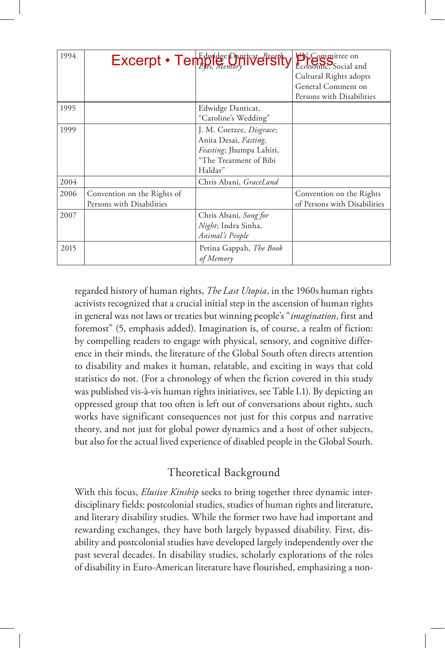| 1994 |                                                          | Excerpt • Temphise Onity ersity Pressince on                                                                       | Cultural Rights adopts<br>General Comment on             |
|------|----------------------------------------------------------|--------------------------------------------------------------------------------------------------------------------|----------------------------------------------------------|
| 1995 |                                                          | Edwidge Danticat,<br>"Caroline's Wedding"                                                                          | Persons with Disabilities                                |
| 1999 |                                                          | J. M. Coetzee, Disgrace;<br>Anita Desai, Fasting,<br>Feasting; Jhumpa Lahiri,<br>"The Treatment of Bibi<br>Haldar" |                                                          |
| 2004 |                                                          | Chris Abani, GraceLand                                                                                             |                                                          |
| 2006 | Convention on the Rights of<br>Persons with Disabilities |                                                                                                                    | Convention on the Rights<br>of Persons with Disabilities |
| 2007 |                                                          | Chris Abani, Song for<br>Night; Indra Sinha,<br>Animal's People                                                    |                                                          |
| 2015 |                                                          | Petina Gappah, The Book<br>of Memory                                                                               |                                                          |

regarded history of human rights, *The Last Utopia*, in the 1960s human rights activists recognized that a crucial initial step in the ascension of human rights in general was not laws or treaties but winning people's "*imagination*, first and foremost" (5, emphasis added). Imagination is, of course, a realm of fiction: by compelling readers to engage with physical, sensory, and cognitive difference in their minds, the literature of the Global South often directs attention to disability and makes it human, relatable, and exciting in ways that cold statistics do not. (For a chronology of when the fiction covered in this study was published vis-à-vis human rights initiatives, see Table I.1). By depicting an oppressed group that too often is left out of conversations about rights, such works have significant consequences not just for this corpus and narrative theory, and not just for global power dynamics and a host of other subjects, but also for the actual lived experience of disabled people in the Global South.

### Theoretical Background

With this focus, *Elusive Kinship* seeks to bring together three dynamic interdisciplinary fields: postcolonial studies, studies of human rights and literature, and literary disability studies. While the former two have had important and rewarding exchanges, they have both largely bypassed disability. First, disability and postcolonial studies have developed largely independently over the past several decades. In disability studies, scholarly explorations of the roles of disability in Euro-American literature have flourished, emphasizing a non-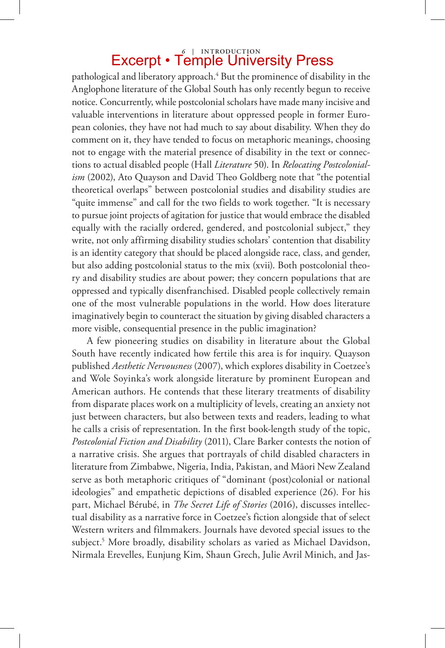pathological and liberatory approach.<sup>4</sup> But the prominence of disability in the Anglophone literature of the Global South has only recently begun to receive notice. Concurrently, while postcolonial scholars have made many incisive and valuable interventions in literature about oppressed people in former European colonies, they have not had much to say about disability. When they do comment on it, they have tended to focus on metaphoric meanings, choosing not to engage with the material presence of disability in the text or connections to actual disabled people (Hall *Literature* 50). In *Relocating Postcolonialism* (2002), Ato Quayson and David Theo Goldberg note that "the potential theoretical overlaps" between postcolonial studies and disability studies are "quite immense" and call for the two fields to work together. "It is necessary to pursue joint projects of agitation for justice that would embrace the disabled equally with the racially ordered, gendered, and postcolonial subject," they write, not only affirming disability studies scholars' contention that disability is an identity category that should be placed alongside race, class, and gender, but also adding postcolonial status to the mix (xvii). Both postcolonial theory and disability studies are about power; they concern populations that are oppressed and typically disenfranchised. Disabled people collectively remain one of the most vulnerable populations in the world. How does literature imaginatively begin to counteract the situation by giving disabled characters a more visible, consequential presence in the public imagination?

A few pioneering studies on disability in literature about the Global South have recently indicated how fertile this area is for inquiry. Quayson published *Aesthetic Nervousness* (2007), which explores disability in Coetzee's and Wole Soyinka's work alongside literature by prominent European and American authors. He contends that these literary treatments of disability from disparate places work on a multiplicity of levels, creating an anxiety not just between characters, but also between texts and readers, leading to what he calls a crisis of representation. In the first book-length study of the topic, *Postcolonial Fiction and Disability* (2011), Clare Barker contests the notion of a narrative crisis. She argues that portrayals of child disabled characters in literature from Zimbabwe, Nigeria, India, Pakistan, and Māori New Zealand serve as both metaphoric critiques of "dominant (post)colonial or national ideologies" and empathetic depictions of disabled experience (26). For his part, Michael Bérubé, in *The Secret Life of Stories* (2016), discusses intellectual disability as a narrative force in Coetzee's fiction alongside that of select Western writers and filmmakers. Journals have devoted special issues to the subject.<sup>5</sup> More broadly, disability scholars as varied as Michael Davidson, Nirmala Erevelles, Eunjung Kim, Shaun Grech, Julie Avril Minich, and Jas-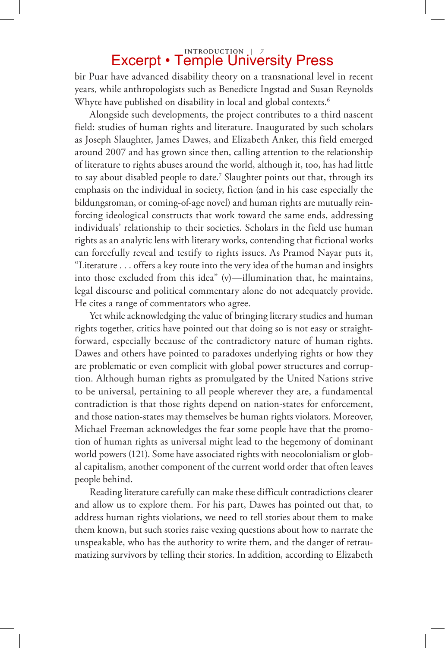bir Puar have advanced disability theory on a transnational level in recent years, while anthropologists such as Benedicte Ingstad and Susan Reynolds Whyte have published on disability in local and global contexts.<sup>6</sup>

Alongside such developments, the project contributes to a third nascent field: studies of human rights and literature. Inaugurated by such scholars as Joseph Slaughter, James Dawes, and Elizabeth Anker, this field emerged around 2007 and has grown since then, calling attention to the relationship of literature to rights abuses around the world, although it, too, has had little to say about disabled people to date.<sup>7</sup> Slaughter points out that, through its emphasis on the individual in society, fiction (and in his case especially the bildungsroman, or coming-of-age novel) and human rights are mutually reinforcing ideological constructs that work toward the same ends, addressing individuals' relationship to their societies. Scholars in the field use human rights as an analytic lens with literary works, contending that fictional works can forcefully reveal and testify to rights issues. As Pramod Nayar puts it, "Literature . . . offers a key route into the very idea of the human and insights into those excluded from this idea" (v)—illumination that, he maintains, legal discourse and political commentary alone do not adequately provide. He cites a range of commentators who agree.

Yet while acknowledging the value of bringing literary studies and human rights together, critics have pointed out that doing so is not easy or straightforward, especially because of the contradictory nature of human rights. Dawes and others have pointed to paradoxes underlying rights or how they are problematic or even complicit with global power structures and corruption. Although human rights as promulgated by the United Nations strive to be universal, pertaining to all people wherever they are, a fundamental contradiction is that those rights depend on nation-states for enforcement, and those nation-states may themselves be human rights violators. Moreover, Michael Freeman acknowledges the fear some people have that the promotion of human rights as universal might lead to the hegemony of dominant world powers (121). Some have associated rights with neocolonialism or global capitalism, another component of the current world order that often leaves people behind.

Reading literature carefully can make these difficult contradictions clearer and allow us to explore them. For his part, Dawes has pointed out that, to address human rights violations, we need to tell stories about them to make them known, but such stories raise vexing questions about how to narrate the unspeakable, who has the authority to write them, and the danger of retraumatizing survivors by telling their stories. In addition, according to Elizabeth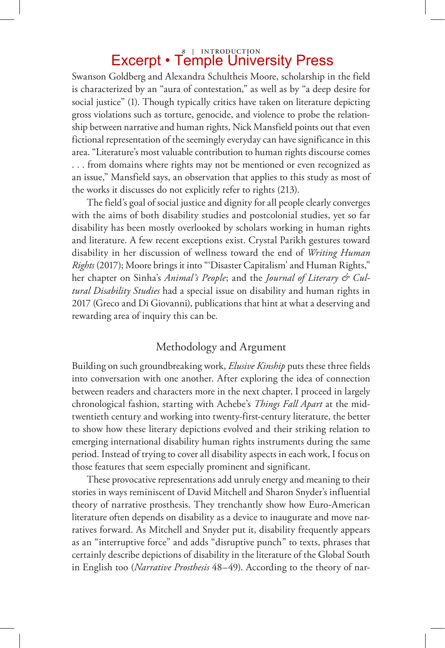Swanson Goldberg and Alexandra Schultheis Moore, scholarship in the field is characterized by an "aura of contestation," as well as by "a deep desire for social justice" (1). Though typically critics have taken on literature depicting gross violations such as torture, genocide, and violence to probe the relationship between narrative and human rights, Nick Mansfield points out that even fictional representation of the seemingly everyday can have significance in this area. "Literature's most valuable contribution to human rights discourse comes . . . from domains where rights may not be mentioned or even recognized as an issue," Mansfield says, an observation that applies to this study as most of the works it discusses do not explicitly refer to rights (213).

The field's goal of social justice and dignity for all people clearly converges with the aims of both disability studies and postcolonial studies, yet so far disability has been mostly overlooked by scholars working in human rights and literature. A few recent exceptions exist. Crystal Parikh gestures toward disability in her discussion of wellness toward the end of *Writing Human Rights* (2017); Moore brings it into "'Disaster Capitalism' and Human Rights," her chapter on Sinha's *Animal's People*; and the *Journal of Literary & Cultural Disability Studies* had a special issue on disability and human rights in 2017 (Greco and Di Giovanni), publications that hint at what a deserving and rewarding area of inquiry this can be*.*

### Methodology and Argument

Building on such groundbreaking work, *Elusive Kinship* puts these three fields into conversation with one another. After exploring the idea of connection between readers and characters more in the next chapter, I proceed in largely chronological fashion, starting with Achebe's *Things Fall Apart* at the midtwentieth century and working into twenty-first-century literature, the better to show how these literary depictions evolved and their striking relation to emerging international disability human rights instruments during the same period. Instead of trying to cover all disability aspects in each work, I focus on those features that seem especially prominent and significant.

These provocative representations add unruly energy and meaning to their stories in ways reminiscent of David Mitchell and Sharon Snyder's influential theory of narrative prosthesis. They trenchantly show how Euro-American literature often depends on disability as a device to inaugurate and move narratives forward. As Mitchell and Snyder put it, disability frequently appears as an "interruptive force" and adds "disruptive punch" to texts, phrases that certainly describe depictions of disability in the literature of the Global South in English too (*Narrative Prosthesis* 48–49). According to the theory of nar-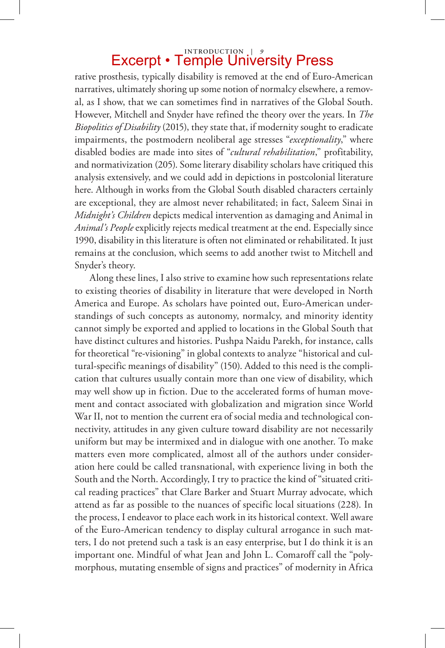rative prosthesis, typically disability is removed at the end of Euro-American narratives, ultimately shoring up some notion of normalcy elsewhere, a removal, as I show, that we can sometimes find in narratives of the Global South. However, Mitchell and Snyder have refined the theory over the years. In *The Biopolitics of Disability* (2015), they state that, if modernity sought to eradicate impairments, the postmodern neoliberal age stresses "*exceptionality*," where disabled bodies are made into sites of "*cultural rehabilitation*," profitability, and normativization (205). Some literary disability scholars have critiqued this analysis extensively, and we could add in depictions in postcolonial literature here. Although in works from the Global South disabled characters certainly are exceptional, they are almost never rehabilitated; in fact, Saleem Sinai in *Midnight's Children* depicts medical intervention as damaging and Animal in *Animal's People* explicitly rejects medical treatment at the end. Especially since 1990, disability in this literature is often not eliminated or rehabilitated. It just remains at the conclusion, which seems to add another twist to Mitchell and Snyder's theory.

Along these lines, I also strive to examine how such representations relate to existing theories of disability in literature that were developed in North America and Europe. As scholars have pointed out, Euro-American understandings of such concepts as autonomy, normalcy, and minority identity cannot simply be exported and applied to locations in the Global South that have distinct cultures and histories. Pushpa Naidu Parekh, for instance, calls for theoretical "re-visioning" in global contexts to analyze "historical and cultural-specific meanings of disability" (150). Added to this need is the complication that cultures usually contain more than one view of disability, which may well show up in fiction. Due to the accelerated forms of human movement and contact associated with globalization and migration since World War II, not to mention the current era of social media and technological connectivity, attitudes in any given culture toward disability are not necessarily uniform but may be intermixed and in dialogue with one another. To make matters even more complicated, almost all of the authors under consideration here could be called transnational, with experience living in both the South and the North. Accordingly, I try to practice the kind of "situated critical reading practices" that Clare Barker and Stuart Murray advocate, which attend as far as possible to the nuances of specific local situations (228). In the process, I endeavor to place each work in its historical context. Well aware of the Euro-American tendency to display cultural arrogance in such matters, I do not pretend such a task is an easy enterprise, but I do think it is an important one. Mindful of what Jean and John L. Comaroff call the "polymorphous, mutating ensemble of signs and practices" of modernity in Africa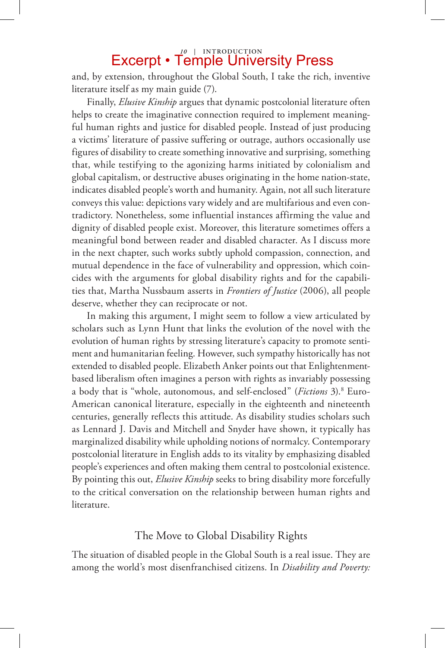and, by extension, throughout the Global South, I take the rich, inventive literature itself as my main guide (7).

Finally, *Elusive Kinship* argues that dynamic postcolonial literature often helps to create the imaginative connection required to implement meaningful human rights and justice for disabled people. Instead of just producing a victims' literature of passive suffering or outrage, authors occasionally use figures of disability to create something innovative and surprising, something that, while testifying to the agonizing harms initiated by colonialism and global capitalism, or destructive abuses originating in the home nation-state, indicates disabled people's worth and humanity. Again, not all such literature conveys this value: depictions vary widely and are multifarious and even contradictory. Nonetheless, some influential instances affirming the value and dignity of disabled people exist. Moreover, this literature sometimes offers a meaningful bond between reader and disabled character. As I discuss more in the next chapter, such works subtly uphold compassion, connection, and mutual dependence in the face of vulnerability and oppression, which coincides with the arguments for global disability rights and for the capabilities that, Martha Nussbaum asserts in *Frontiers of Justice* (2006), all people deserve, whether they can reciprocate or not.

In making this argument, I might seem to follow a view articulated by scholars such as Lynn Hunt that links the evolution of the novel with the evolution of human rights by stressing literature's capacity to promote sentiment and humanitarian feeling. However, such sympathy historically has not extended to disabled people. Elizabeth Anker points out that Enlightenmentbased liberalism often imagines a person with rights as invariably possessing a body that is "whole, autonomous, and self-enclosed" (*Fictions* 3).8 Euro-American canonical literature, especially in the eighteenth and nineteenth centuries, generally reflects this attitude. As disability studies scholars such as Lennard J. Davis and Mitchell and Snyder have shown, it typically has marginalized disability while upholding notions of normalcy. Contemporary postcolonial literature in English adds to its vitality by emphasizing disabled people's experiences and often making them central to postcolonial existence. By pointing this out, *Elusive Kinship* seeks to bring disability more forcefully to the critical conversation on the relationship between human rights and literature.

### The Move to Global Disability Rights

The situation of disabled people in the Global South is a real issue. They are among the world's most disenfranchised citizens. In *Disability and Poverty:*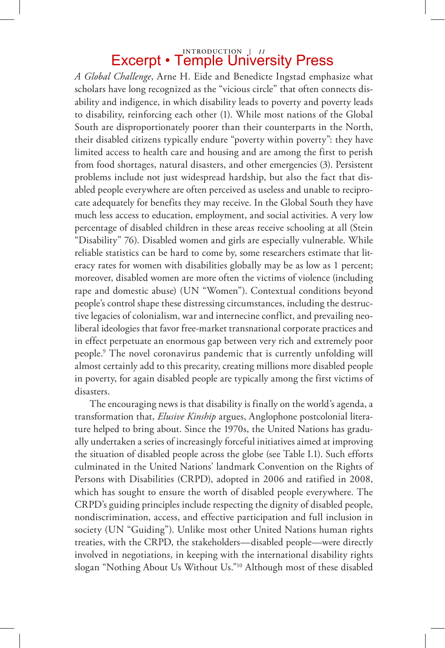*A Global Challenge*, Arne H. Eide and Benedicte Ingstad emphasize what scholars have long recognized as the "vicious circle" that often connects disability and indigence, in which disability leads to poverty and poverty leads to disability, reinforcing each other (1). While most nations of the Global South are disproportionately poorer than their counterparts in the North, their disabled citizens typically endure "poverty within poverty": they have limited access to health care and housing and are among the first to perish from food shortages, natural disasters, and other emergencies (3). Persistent problems include not just widespread hardship, but also the fact that disabled people everywhere are often perceived as useless and unable to reciprocate adequately for benefits they may receive. In the Global South they have much less access to education, employment, and social activities. A very low percentage of disabled children in these areas receive schooling at all (Stein "Disability" 76). Disabled women and girls are especially vulnerable. While reliable statistics can be hard to come by, some researchers estimate that literacy rates for women with disabilities globally may be as low as 1 percent; moreover, disabled women are more often the victims of violence (including rape and domestic abuse) (UN "Women"). Contextual conditions beyond people's control shape these distressing circumstances, including the destructive legacies of colonialism, war and internecine conflict, and prevailing neoliberal ideologies that favor free-market transnational corporate practices and in effect perpetuate an enormous gap between very rich and extremely poor people.9 The novel coronavirus pandemic that is currently unfolding will almost certainly add to this precarity, creating millions more disabled people in poverty, for again disabled people are typically among the first victims of disasters.

The encouraging news is that disability is finally on the world's agenda, a transformation that, *Elusive Kinship* argues, Anglophone postcolonial literature helped to bring about. Since the 1970s, the United Nations has gradually undertaken a series of increasingly forceful initiatives aimed at improving the situation of disabled people across the globe (see Table I.1). Such efforts culminated in the United Nations' landmark Convention on the Rights of Persons with Disabilities (CRPD), adopted in 2006 and ratified in 2008, which has sought to ensure the worth of disabled people everywhere. The CRPD's guiding principles include respecting the dignity of disabled people, nondiscrimination, access, and effective participation and full inclusion in society (UN "Guiding"). Unlike most other United Nations human rights treaties, with the CRPD, the stakeholders—disabled people—were directly involved in negotiations, in keeping with the international disability rights slogan "Nothing About Us Without Us."10 Although most of these disabled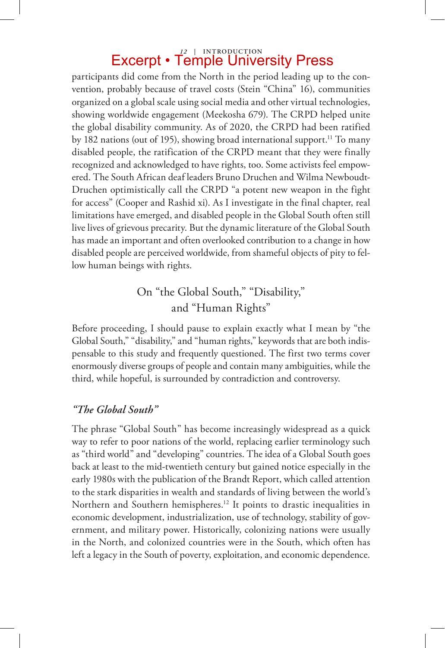participants did come from the North in the period leading up to the convention, probably because of travel costs (Stein "China" 16), communities organized on a global scale using social media and other virtual technologies, showing worldwide engagement (Meekosha 679). The CRPD helped unite the global disability community. As of 2020, the CRPD had been ratified by 182 nations (out of 195), showing broad international support.<sup>11</sup> To many disabled people, the ratification of the CRPD meant that they were finally recognized and acknowledged to have rights, too. Some activists feel empowered. The South African deaf leaders Bruno Druchen and Wilma Newboudt-Druchen optimistically call the CRPD "a potent new weapon in the fight for access" (Cooper and Rashid xi). As I investigate in the final chapter, real limitations have emerged, and disabled people in the Global South often still live lives of grievous precarity. But the dynamic literature of the Global South has made an important and often overlooked contribution to a change in how disabled people are perceived worldwide, from shameful objects of pity to fellow human beings with rights.

### On "the Global South," "Disability," and "Human Rights"

Before proceeding, I should pause to explain exactly what I mean by "the Global South," "disability," and "human rights," keywords that are both indispensable to this study and frequently questioned. The first two terms cover enormously diverse groups of people and contain many ambiguities, while the third, while hopeful, is surrounded by contradiction and controversy.

### *"The Global South"*

The phrase "Global South" has become increasingly widespread as a quick way to refer to poor nations of the world, replacing earlier terminology such as "third world" and "developing" countries. The idea of a Global South goes back at least to the mid-twentieth century but gained notice especially in the early 1980s with the publication of the Brandt Report, which called attention to the stark disparities in wealth and standards of living between the world's Northern and Southern hemispheres.<sup>12</sup> It points to drastic inequalities in economic development, industrialization, use of technology, stability of government, and military power. Historically, colonizing nations were usually in the North, and colonized countries were in the South, which often has left a legacy in the South of poverty, exploitation, and economic dependence.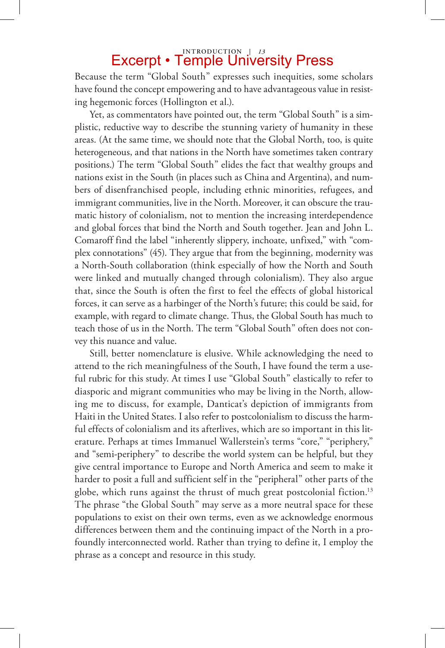Because the term "Global South" expresses such inequities, some scholars have found the concept empowering and to have advantageous value in resisting hegemonic forces (Hollington et al.).

Yet, as commentators have pointed out, the term "Global South" is a simplistic, reductive way to describe the stunning variety of humanity in these areas. (At the same time, we should note that the Global North, too, is quite heterogeneous, and that nations in the North have sometimes taken contrary positions.) The term "Global South" elides the fact that wealthy groups and nations exist in the South (in places such as China and Argentina), and numbers of disenfranchised people, including ethnic minorities, refugees, and immigrant communities, live in the North. Moreover, it can obscure the traumatic history of colonialism, not to mention the increasing interdependence and global forces that bind the North and South together. Jean and John L. Comaroff find the label "inherently slippery, inchoate, unfixed," with "complex connotations" (45). They argue that from the beginning, modernity was a North-South collaboration (think especially of how the North and South were linked and mutually changed through colonialism). They also argue that, since the South is often the first to feel the effects of global historical forces, it can serve as a harbinger of the North's future; this could be said, for example, with regard to climate change. Thus, the Global South has much to teach those of us in the North. The term "Global South" often does not convey this nuance and value.

Still, better nomenclature is elusive. While acknowledging the need to attend to the rich meaningfulness of the South, I have found the term a useful rubric for this study. At times I use "Global South" elastically to refer to diasporic and migrant communities who may be living in the North, allowing me to discuss, for example, Danticat's depiction of immigrants from Haiti in the United States. I also refer to postcolonialism to discuss the harmful effects of colonialism and its afterlives, which are so important in this literature. Perhaps at times Immanuel Wallerstein's terms "core," "periphery," and "semi-periphery" to describe the world system can be helpful, but they give central importance to Europe and North America and seem to make it harder to posit a full and sufficient self in the "peripheral" other parts of the globe, which runs against the thrust of much great postcolonial fiction.<sup>13</sup> The phrase "the Global South" may serve as a more neutral space for these populations to exist on their own terms, even as we acknowledge enormous differences between them and the continuing impact of the North in a profoundly interconnected world. Rather than trying to define it, I employ the phrase as a concept and resource in this study.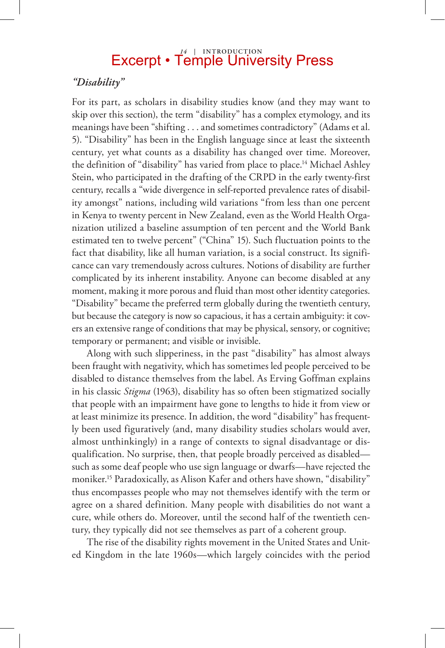#### *"Disability"*

For its part, as scholars in disability studies know (and they may want to skip over this section), the term "disability" has a complex etymology, and its meanings have been "shifting . . . and sometimes contradictory" (Adams et al. 5). "Disability" has been in the English language since at least the sixteenth century, yet what counts as a disability has changed over time. Moreover, the definition of "disability" has varied from place to place.<sup>14</sup> Michael Ashley Stein, who participated in the drafting of the CRPD in the early twenty-first century, recalls a "wide divergence in self-reported prevalence rates of disability amongst" nations, including wild variations "from less than one percent in Kenya to twenty percent in New Zealand, even as the World Health Organization utilized a baseline assumption of ten percent and the World Bank estimated ten to twelve percent" ("China" 15). Such fluctuation points to the fact that disability, like all human variation, is a social construct. Its significance can vary tremendously across cultures. Notions of disability are further complicated by its inherent instability. Anyone can become disabled at any moment, making it more porous and fluid than most other identity categories. "Disability" became the preferred term globally during the twentieth century, but because the category is now so capacious, it has a certain ambiguity: it covers an extensive range of conditions that may be physical, sensory, or cognitive; temporary or permanent; and visible or invisible.

Along with such slipperiness, in the past "disability" has almost always been fraught with negativity, which has sometimes led people perceived to be disabled to distance themselves from the label. As Erving Goffman explains in his classic *Stigma* (1963), disability has so often been stigmatized socially that people with an impairment have gone to lengths to hide it from view or at least minimize its presence. In addition, the word "disability" has frequently been used figuratively (and, many disability studies scholars would aver, almost unthinkingly) in a range of contexts to signal disadvantage or disqualification. No surprise, then, that people broadly perceived as disabled such as some deaf people who use sign language or dwarfs—have rejected the moniker.15 Paradoxically, as Alison Kafer and others have shown, "disability" thus encompasses people who may not themselves identify with the term or agree on a shared definition. Many people with disabilities do not want a cure, while others do. Moreover, until the second half of the twentieth century, they typically did not see themselves as part of a coherent group.

The rise of the disability rights movement in the United States and United Kingdom in the late 1960s—which largely coincides with the period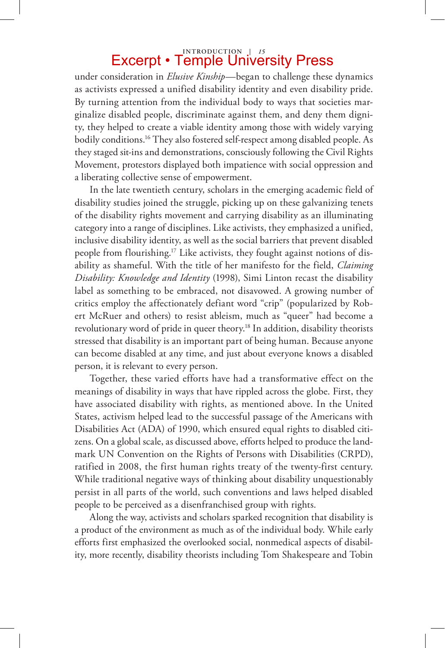under consideration in *Elusive Kinship*—began to challenge these dynamics as activists expressed a unified disability identity and even disability pride. By turning attention from the individual body to ways that societies marginalize disabled people, discriminate against them, and deny them dignity, they helped to create a viable identity among those with widely varying bodily conditions.16 They also fostered self-respect among disabled people. As they staged sit-ins and demonstrations, consciously following the Civil Rights Movement, protestors displayed both impatience with social oppression and a liberating collective sense of empowerment.

In the late twentieth century, scholars in the emerging academic field of disability studies joined the struggle, picking up on these galvanizing tenets of the disability rights movement and carrying disability as an illuminating category into a range of disciplines. Like activists, they emphasized a unified, inclusive disability identity, as well as the social barriers that prevent disabled people from flourishing.<sup>17</sup> Like activists, they fought against notions of disability as shameful. With the title of her manifesto for the field, *Claiming Disability: Knowledge and Identity* (1998), Simi Linton recast the disability label as something to be embraced, not disavowed. A growing number of critics employ the affectionately defiant word "crip" (popularized by Robert McRuer and others) to resist ableism, much as "queer" had become a revolutionary word of pride in queer theory.<sup>18</sup> In addition, disability theorists stressed that disability is an important part of being human. Because anyone can become disabled at any time, and just about everyone knows a disabled person, it is relevant to every person.

Together, these varied efforts have had a transformative effect on the meanings of disability in ways that have rippled across the globe. First, they have associated disability with rights, as mentioned above. In the United States, activism helped lead to the successful passage of the Americans with Disabilities Act (ADA) of 1990, which ensured equal rights to disabled citizens. On a global scale, as discussed above, efforts helped to produce the landmark UN Convention on the Rights of Persons with Disabilities (CRPD), ratified in 2008, the first human rights treaty of the twenty-first century. While traditional negative ways of thinking about disability unquestionably persist in all parts of the world, such conventions and laws helped disabled people to be perceived as a disenfranchised group with rights.

Along the way, activists and scholars sparked recognition that disability is a product of the environment as much as of the individual body. While early efforts first emphasized the overlooked social, nonmedical aspects of disability, more recently, disability theorists including Tom Shakespeare and Tobin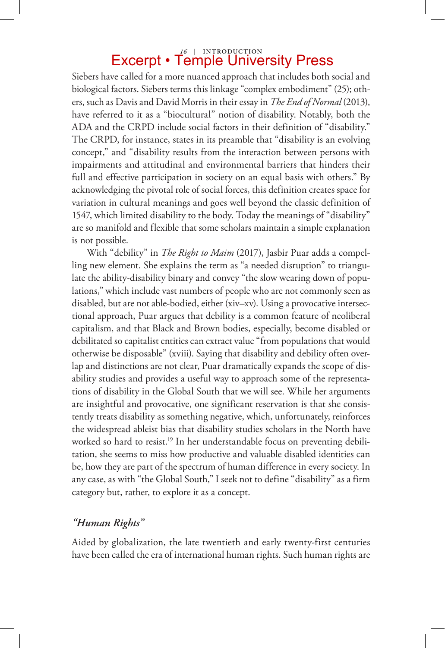Siebers have called for a more nuanced approach that includes both social and biological factors. Siebers terms this linkage "complex embodiment" (25); others, such as Davis and David Morris in their essay in *The End of Normal* (2013), have referred to it as a "biocultural" notion of disability. Notably, both the ADA and the CRPD include social factors in their definition of "disability." The CRPD, for instance, states in its preamble that "disability is an evolving concept," and "disability results from the interaction between persons with impairments and attitudinal and environmental barriers that hinders their full and effective participation in society on an equal basis with others." By acknowledging the pivotal role of social forces, this definition creates space for variation in cultural meanings and goes well beyond the classic definition of 1547, which limited disability to the body. Today the meanings of "disability" are so manifold and flexible that some scholars maintain a simple explanation is not possible.

With "debility" in *The Right to Maim* (2017), Jasbir Puar adds a compelling new element. She explains the term as "a needed disruption" to triangulate the ability-disability binary and convey "the slow wearing down of populations," which include vast numbers of people who are not commonly seen as disabled, but are not able-bodied, either (xiv–xv). Using a provocative intersectional approach, Puar argues that debility is a common feature of neoliberal capitalism, and that Black and Brown bodies, especially, become disabled or debilitated so capitalist entities can extract value "from populations that would otherwise be disposable" (xviii). Saying that disability and debility often overlap and distinctions are not clear, Puar dramatically expands the scope of disability studies and provides a useful way to approach some of the representations of disability in the Global South that we will see. While her arguments are insightful and provocative, one significant reservation is that she consistently treats disability as something negative, which, unfortunately, reinforces the widespread ableist bias that disability studies scholars in the North have worked so hard to resist.<sup>19</sup> In her understandable focus on preventing debilitation, she seems to miss how productive and valuable disabled identities can be, how they are part of the spectrum of human difference in every society. In any case, as with "the Global South," I seek not to define "disability" as a firm category but, rather, to explore it as a concept.

### *"Human Rights"*

Aided by globalization, the late twentieth and early twenty-first centuries have been called the era of international human rights. Such human rights are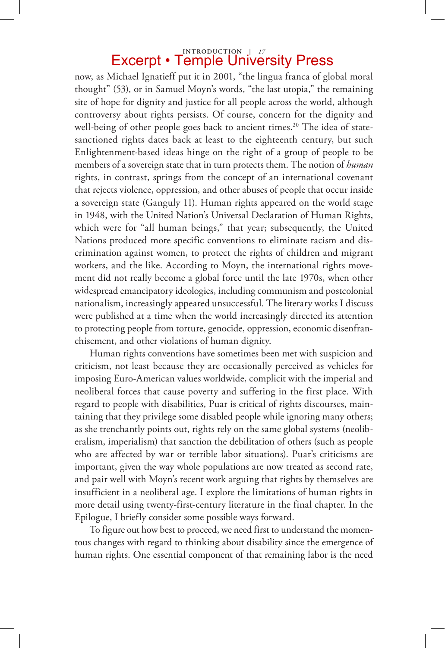now, as Michael Ignatieff put it in 2001, "the lingua franca of global moral thought" (53), or in Samuel Moyn's words, "the last utopia," the remaining site of hope for dignity and justice for all people across the world, although controversy about rights persists. Of course, concern for the dignity and well-being of other people goes back to ancient times.<sup>20</sup> The idea of statesanctioned rights dates back at least to the eighteenth century, but such Enlightenment-based ideas hinge on the right of a group of people to be members of a sovereign state that in turn protects them. The notion of *human* rights, in contrast, springs from the concept of an international covenant that rejects violence, oppression, and other abuses of people that occur inside a sovereign state (Ganguly 11). Human rights appeared on the world stage in 1948, with the United Nation's Universal Declaration of Human Rights, which were for "all human beings," that year; subsequently, the United Nations produced more specific conventions to eliminate racism and discrimination against women, to protect the rights of children and migrant workers, and the like. According to Moyn, the international rights movement did not really become a global force until the late 1970s, when other widespread emancipatory ideologies, including communism and postcolonial nationalism, increasingly appeared unsuccessful. The literary works I discuss were published at a time when the world increasingly directed its attention to protecting people from torture, genocide, oppression, economic disenfranchisement, and other violations of human dignity.

Human rights conventions have sometimes been met with suspicion and criticism, not least because they are occasionally perceived as vehicles for imposing Euro-American values worldwide, complicit with the imperial and neoliberal forces that cause poverty and suffering in the first place. With regard to people with disabilities, Puar is critical of rights discourses, maintaining that they privilege some disabled people while ignoring many others; as she trenchantly points out, rights rely on the same global systems (neoliberalism, imperialism) that sanction the debilitation of others (such as people who are affected by war or terrible labor situations). Puar's criticisms are important, given the way whole populations are now treated as second rate, and pair well with Moyn's recent work arguing that rights by themselves are insufficient in a neoliberal age. I explore the limitations of human rights in more detail using twenty-first-century literature in the final chapter. In the Epilogue, I briefly consider some possible ways forward.

To figure out how best to proceed, we need first to understand the momentous changes with regard to thinking about disability since the emergence of human rights. One essential component of that remaining labor is the need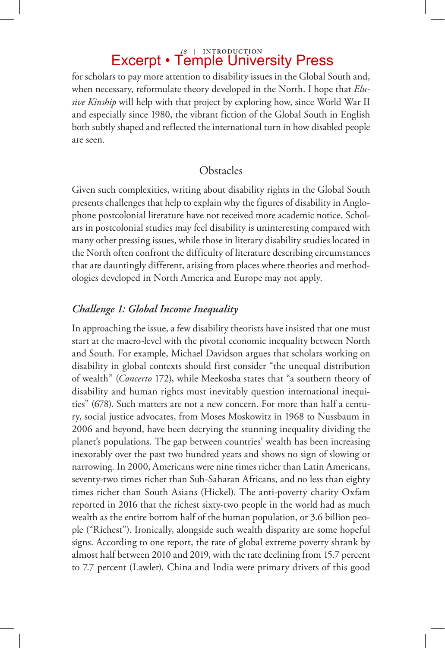for scholars to pay more attention to disability issues in the Global South and, when necessary, reformulate theory developed in the North. I hope that *Elusive Kinship* will help with that project by exploring how, since World War II and especially since 1980, the vibrant fiction of the Global South in English both subtly shaped and reflected the international turn in how disabled people are seen.

### **Obstacles**

Given such complexities, writing about disability rights in the Global South presents challenges that help to explain why the figures of disability in Anglophone postcolonial literature have not received more academic notice. Scholars in postcolonial studies may feel disability is uninteresting compared with many other pressing issues, while those in literary disability studies located in the North often confront the difficulty of literature describing circumstances that are dauntingly different, arising from places where theories and methodologies developed in North America and Europe may not apply.

#### *Challenge 1: Global Income Inequality*

In approaching the issue, a few disability theorists have insisted that one must start at the macro-level with the pivotal economic inequality between North and South. For example, Michael Davidson argues that scholars working on disability in global contexts should first consider "the unequal distribution of wealth" (*Concerto* 172), while Meekosha states that "a southern theory of disability and human rights must inevitably question international inequities" (678). Such matters are not a new concern. For more than half a century, social justice advocates, from Moses Moskowitz in 1968 to Nussbaum in 2006 and beyond, have been decrying the stunning inequality dividing the planet's populations. The gap between countries' wealth has been increasing inexorably over the past two hundred years and shows no sign of slowing or narrowing. In 2000, Americans were nine times richer than Latin Americans, seventy-two times richer than Sub-Saharan Africans, and no less than eighty times richer than South Asians (Hickel). The anti-poverty charity Oxfam reported in 2016 that the richest sixty-two people in the world had as much wealth as the entire bottom half of the human population, or 3.6 billion people ("Richest"). Ironically, alongside such wealth disparity are some hopeful signs. According to one report, the rate of global extreme poverty shrank by almost half between 2010 and 2019, with the rate declining from 15.7 percent to 7.7 percent (Lawler). China and India were primary drivers of this good